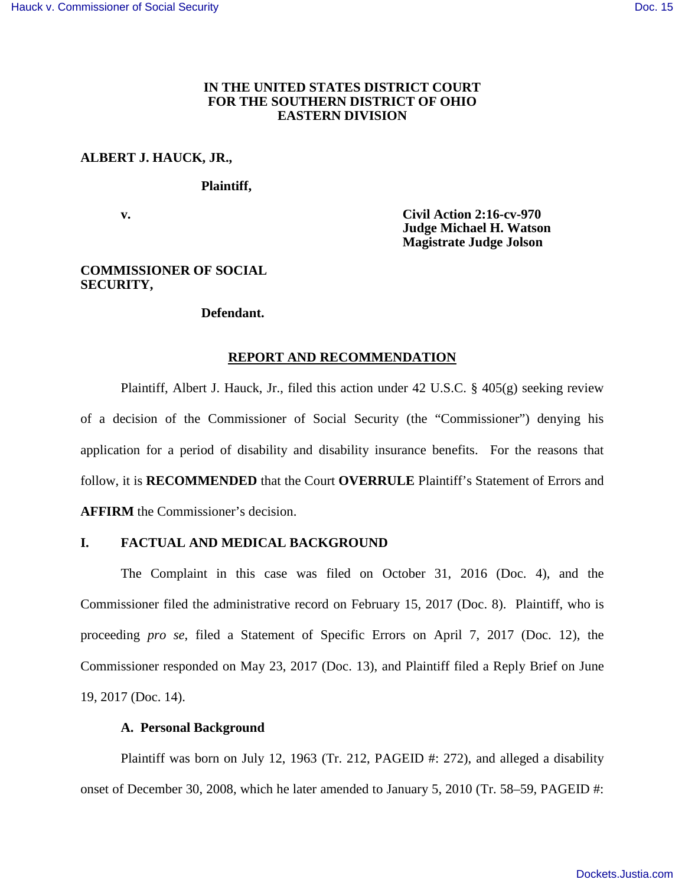## **IN THE UNITED STATES DISTRICT COURT FOR THE SOUTHERN DISTRICT OF OHIO EASTERN DIVISION**

## **ALBERT J. HAUCK, JR.,**

#### **Plaintiff,**

 **v. Civil Action 2:16-cv-970 Judge Michael H. Watson Magistrate Judge Jolson** 

### **COMMISSIONER OF SOCIAL SECURITY,**

#### **Defendant.**

#### **REPORT AND RECOMMENDATION**

Plaintiff, Albert J. Hauck, Jr., filed this action under 42 U.S.C. § 405(g) seeking review of a decision of the Commissioner of Social Security (the "Commissioner") denying his application for a period of disability and disability insurance benefits. For the reasons that follow, it is **RECOMMENDED** that the Court **OVERRULE** Plaintiff's Statement of Errors and **AFFIRM** the Commissioner's decision.

# **I. FACTUAL AND MEDICAL BACKGROUND**

The Complaint in this case was filed on October 31, 2016 (Doc. 4), and the Commissioner filed the administrative record on February 15, 2017 (Doc. 8). Plaintiff, who is proceeding *pro se*, filed a Statement of Specific Errors on April 7, 2017 (Doc. 12), the Commissioner responded on May 23, 2017 (Doc. 13), and Plaintiff filed a Reply Brief on June 19, 2017 (Doc. 14).

## **A. Personal Background**

Plaintiff was born on July 12, 1963 (Tr. 212, PAGEID #: 272), and alleged a disability onset of December 30, 2008, which he later amended to January 5, 2010 (Tr. 58–59, PAGEID #: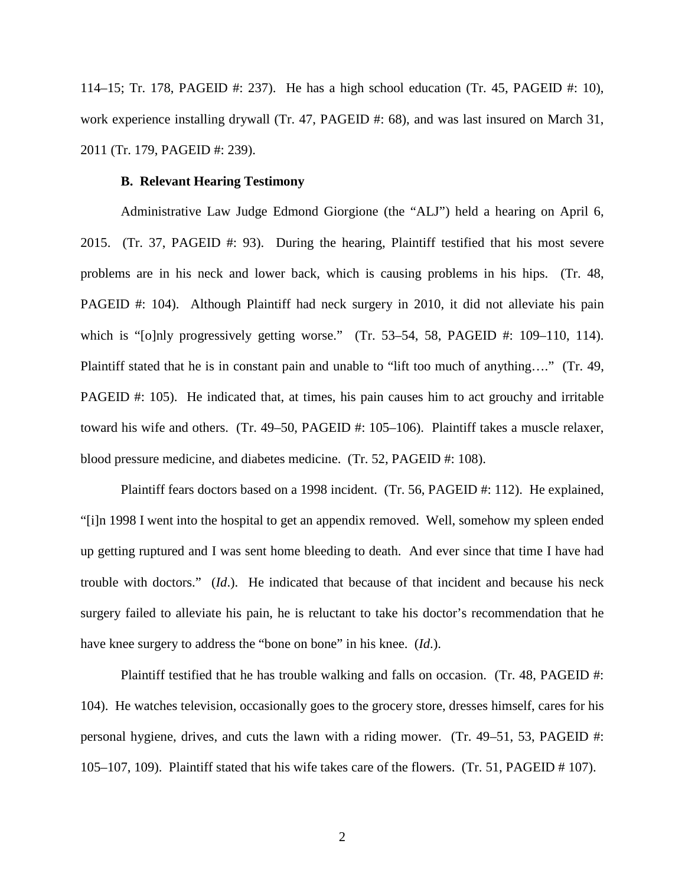114–15; Tr. 178, PAGEID #: 237). He has a high school education (Tr. 45, PAGEID #: 10), work experience installing drywall (Tr. 47, PAGEID #: 68), and was last insured on March 31, 2011 (Tr. 179, PAGEID #: 239).

#### **B. Relevant Hearing Testimony**

Administrative Law Judge Edmond Giorgione (the "ALJ") held a hearing on April 6, 2015. (Tr. 37, PAGEID #: 93). During the hearing, Plaintiff testified that his most severe problems are in his neck and lower back, which is causing problems in his hips. (Tr. 48, PAGEID #: 104). Although Plaintiff had neck surgery in 2010, it did not alleviate his pain which is "[o]nly progressively getting worse." (Tr. 53–54, 58, PAGEID #: 109–110, 114). Plaintiff stated that he is in constant pain and unable to "lift too much of anything…." (Tr. 49, PAGEID #: 105). He indicated that, at times, his pain causes him to act grouchy and irritable toward his wife and others. (Tr. 49–50, PAGEID #: 105–106). Plaintiff takes a muscle relaxer, blood pressure medicine, and diabetes medicine. (Tr. 52, PAGEID #: 108).

Plaintiff fears doctors based on a 1998 incident. (Tr. 56, PAGEID #: 112). He explained, "[i]n 1998 I went into the hospital to get an appendix removed. Well, somehow my spleen ended up getting ruptured and I was sent home bleeding to death. And ever since that time I have had trouble with doctors." (*Id*.). He indicated that because of that incident and because his neck surgery failed to alleviate his pain, he is reluctant to take his doctor's recommendation that he have knee surgery to address the "bone on bone" in his knee. (*Id*.).

Plaintiff testified that he has trouble walking and falls on occasion. (Tr. 48, PAGEID #: 104). He watches television, occasionally goes to the grocery store, dresses himself, cares for his personal hygiene, drives, and cuts the lawn with a riding mower. (Tr. 49–51, 53, PAGEID #: 105–107, 109). Plaintiff stated that his wife takes care of the flowers. (Tr. 51, PAGEID # 107).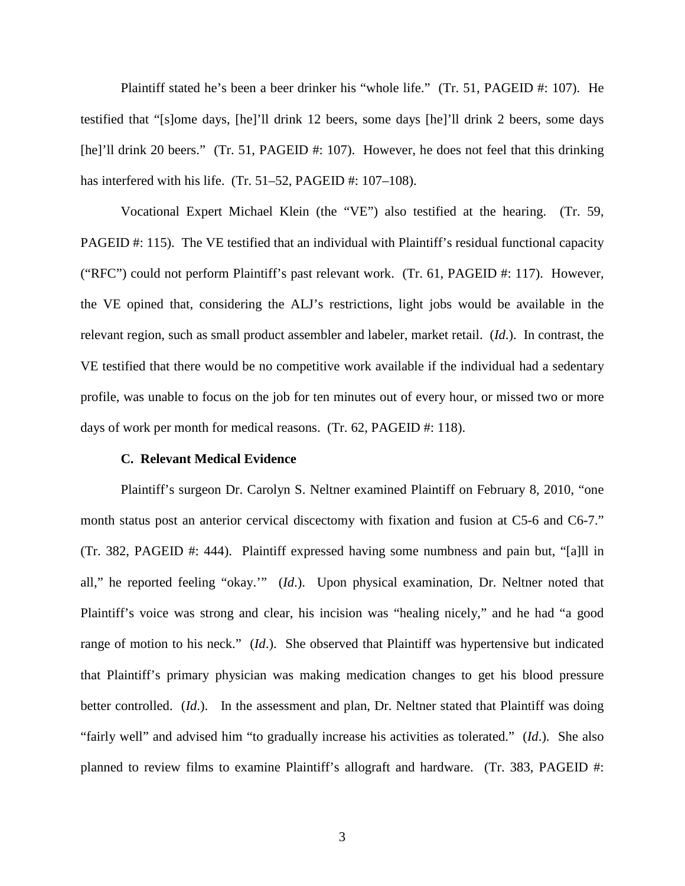Plaintiff stated he's been a beer drinker his "whole life." (Tr. 51, PAGEID #: 107). He testified that "[s]ome days, [he]'ll drink 12 beers, some days [he]'ll drink 2 beers, some days [he]'ll drink 20 beers." (Tr. 51, PAGEID #: 107). However, he does not feel that this drinking has interfered with his life. (Tr. 51–52, PAGEID #: 107–108).

Vocational Expert Michael Klein (the "VE") also testified at the hearing. (Tr. 59, PAGEID #: 115). The VE testified that an individual with Plaintiff's residual functional capacity ("RFC") could not perform Plaintiff's past relevant work. (Tr. 61, PAGEID #: 117). However, the VE opined that, considering the ALJ's restrictions, light jobs would be available in the relevant region, such as small product assembler and labeler, market retail. (*Id*.). In contrast, the VE testified that there would be no competitive work available if the individual had a sedentary profile, was unable to focus on the job for ten minutes out of every hour, or missed two or more days of work per month for medical reasons. (Tr. 62, PAGEID #: 118).

#### **C. Relevant Medical Evidence**

Plaintiff's surgeon Dr. Carolyn S. Neltner examined Plaintiff on February 8, 2010, "one month status post an anterior cervical discectomy with fixation and fusion at C5-6 and C6-7." (Tr. 382, PAGEID #: 444). Plaintiff expressed having some numbness and pain but, "[a]ll in all," he reported feeling "okay.'" (*Id*.). Upon physical examination, Dr. Neltner noted that Plaintiff's voice was strong and clear, his incision was "healing nicely," and he had "a good range of motion to his neck." (*Id*.). She observed that Plaintiff was hypertensive but indicated that Plaintiff's primary physician was making medication changes to get his blood pressure better controlled. (*Id*.). In the assessment and plan, Dr. Neltner stated that Plaintiff was doing "fairly well" and advised him "to gradually increase his activities as tolerated." (*Id*.). She also planned to review films to examine Plaintiff's allograft and hardware. (Tr. 383, PAGEID #: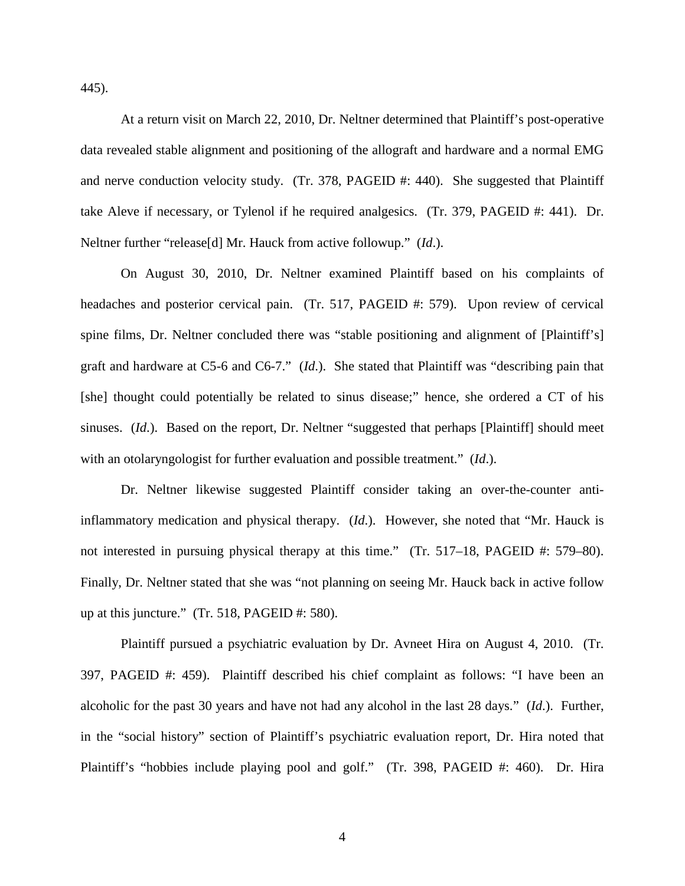445).

At a return visit on March 22, 2010, Dr. Neltner determined that Plaintiff's post-operative data revealed stable alignment and positioning of the allograft and hardware and a normal EMG and nerve conduction velocity study. (Tr. 378, PAGEID #: 440). She suggested that Plaintiff take Aleve if necessary, or Tylenol if he required analgesics. (Tr. 379, PAGEID #: 441). Dr. Neltner further "release[d] Mr. Hauck from active followup." (*Id*.).

On August 30, 2010, Dr. Neltner examined Plaintiff based on his complaints of headaches and posterior cervical pain. (Tr. 517, PAGEID #: 579). Upon review of cervical spine films, Dr. Neltner concluded there was "stable positioning and alignment of [Plaintiff's] graft and hardware at C5-6 and C6-7." (*Id*.). She stated that Plaintiff was "describing pain that [she] thought could potentially be related to sinus disease;" hence, she ordered a CT of his sinuses. (*Id.*). Based on the report, Dr. Neltner "suggested that perhaps [Plaintiff] should meet with an otolaryngologist for further evaluation and possible treatment." (*Id*.).

Dr. Neltner likewise suggested Plaintiff consider taking an over-the-counter antiinflammatory medication and physical therapy. (*Id*.). However, she noted that "Mr. Hauck is not interested in pursuing physical therapy at this time." (Tr. 517–18, PAGEID #: 579–80). Finally, Dr. Neltner stated that she was "not planning on seeing Mr. Hauck back in active follow up at this juncture." (Tr. 518, PAGEID #: 580).

Plaintiff pursued a psychiatric evaluation by Dr. Avneet Hira on August 4, 2010. (Tr. 397, PAGEID #: 459). Plaintiff described his chief complaint as follows: "I have been an alcoholic for the past 30 years and have not had any alcohol in the last 28 days." (*Id*.). Further, in the "social history" section of Plaintiff's psychiatric evaluation report, Dr. Hira noted that Plaintiff's "hobbies include playing pool and golf." (Tr. 398, PAGEID #: 460). Dr. Hira

4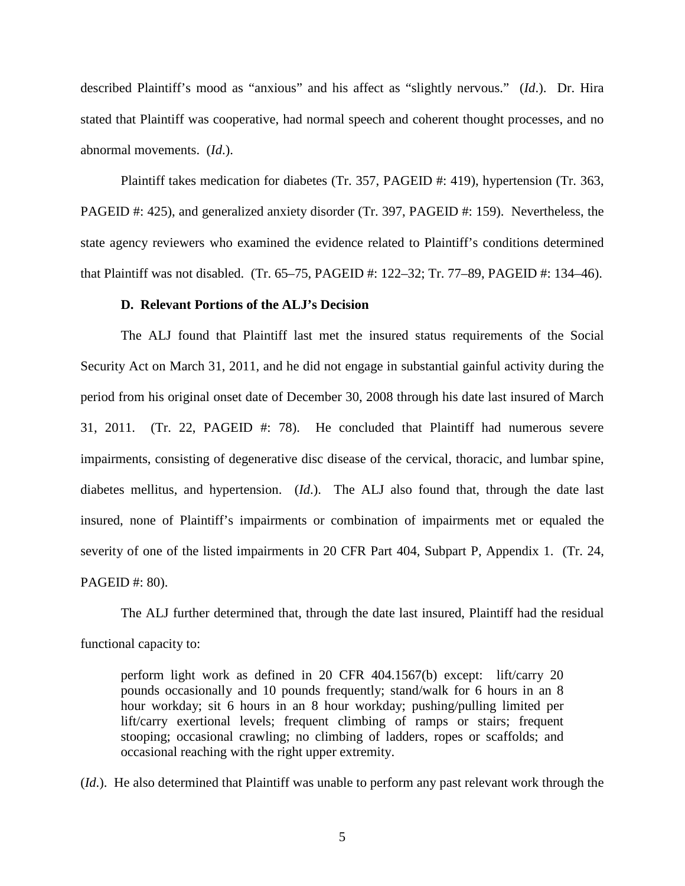described Plaintiff's mood as "anxious" and his affect as "slightly nervous." (*Id*.). Dr. Hira stated that Plaintiff was cooperative, had normal speech and coherent thought processes, and no abnormal movements. (*Id*.).

Plaintiff takes medication for diabetes (Tr. 357, PAGEID #: 419), hypertension (Tr. 363, PAGEID #: 425), and generalized anxiety disorder (Tr. 397, PAGEID #: 159). Nevertheless, the state agency reviewers who examined the evidence related to Plaintiff's conditions determined that Plaintiff was not disabled. (Tr. 65–75, PAGEID #: 122–32; Tr. 77–89, PAGEID #: 134–46).

#### **D. Relevant Portions of the ALJ's Decision**

The ALJ found that Plaintiff last met the insured status requirements of the Social Security Act on March 31, 2011, and he did not engage in substantial gainful activity during the period from his original onset date of December 30, 2008 through his date last insured of March 31, 2011. (Tr. 22, PAGEID #: 78). He concluded that Plaintiff had numerous severe impairments, consisting of degenerative disc disease of the cervical, thoracic, and lumbar spine, diabetes mellitus, and hypertension. (*Id*.). The ALJ also found that, through the date last insured, none of Plaintiff's impairments or combination of impairments met or equaled the severity of one of the listed impairments in 20 CFR Part 404, Subpart P, Appendix 1. (Tr. 24, PAGEID #: 80).

The ALJ further determined that, through the date last insured, Plaintiff had the residual functional capacity to:

perform light work as defined in 20 CFR 404.1567(b) except: lift/carry 20 pounds occasionally and 10 pounds frequently; stand/walk for 6 hours in an 8 hour workday; sit 6 hours in an 8 hour workday; pushing/pulling limited per lift/carry exertional levels; frequent climbing of ramps or stairs; frequent stooping; occasional crawling; no climbing of ladders, ropes or scaffolds; and occasional reaching with the right upper extremity.

(*Id*.). He also determined that Plaintiff was unable to perform any past relevant work through the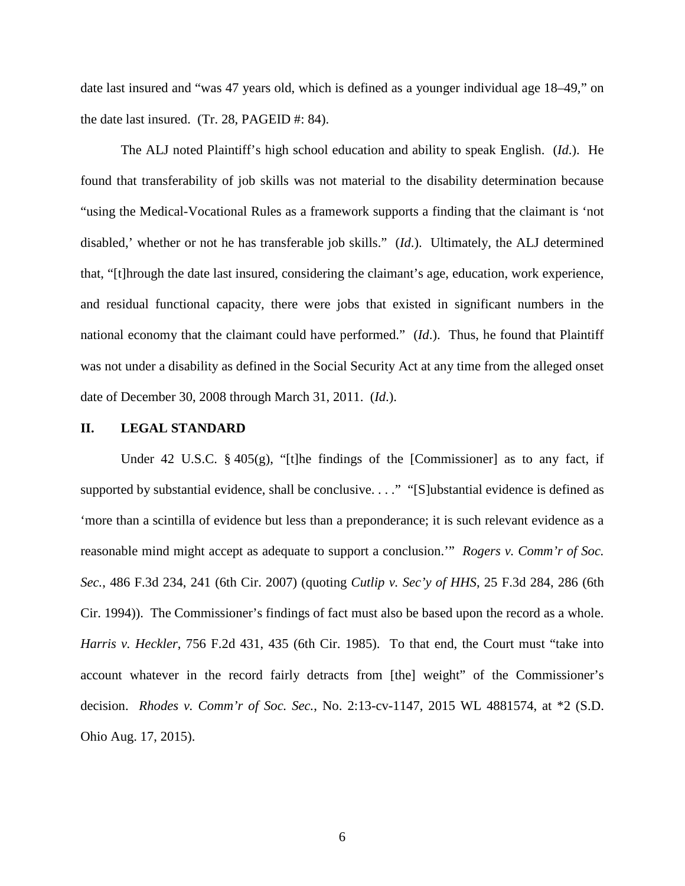date last insured and "was 47 years old, which is defined as a younger individual age 18–49," on the date last insured. (Tr. 28, PAGEID #: 84).

The ALJ noted Plaintiff's high school education and ability to speak English. (*Id*.). He found that transferability of job skills was not material to the disability determination because "using the Medical-Vocational Rules as a framework supports a finding that the claimant is 'not disabled,' whether or not he has transferable job skills." (*Id*.). Ultimately, the ALJ determined that, "[t]hrough the date last insured, considering the claimant's age, education, work experience, and residual functional capacity, there were jobs that existed in significant numbers in the national economy that the claimant could have performed." (*Id*.). Thus, he found that Plaintiff was not under a disability as defined in the Social Security Act at any time from the alleged onset date of December 30, 2008 through March 31, 2011. (*Id*.).

#### **II. LEGAL STANDARD**

Under 42 U.S.C. § 405(g), "[t]he findings of the [Commissioner] as to any fact, if supported by substantial evidence, shall be conclusive. . . ." "[S]ubstantial evidence is defined as 'more than a scintilla of evidence but less than a preponderance; it is such relevant evidence as a reasonable mind might accept as adequate to support a conclusion.'" *Rogers v. Comm'r of Soc. Sec.*, 486 F.3d 234, 241 (6th Cir. 2007) (quoting *Cutlip v. Sec'y of HHS*, 25 F.3d 284, 286 (6th Cir. 1994)). The Commissioner's findings of fact must also be based upon the record as a whole. *Harris v. Heckler*, 756 F.2d 431, 435 (6th Cir. 1985). To that end, the Court must "take into account whatever in the record fairly detracts from [the] weight" of the Commissioner's decision. *Rhodes v. Comm'r of Soc. Sec.*, No. 2:13-cv-1147, 2015 WL 4881574, at \*2 (S.D. Ohio Aug. 17, 2015).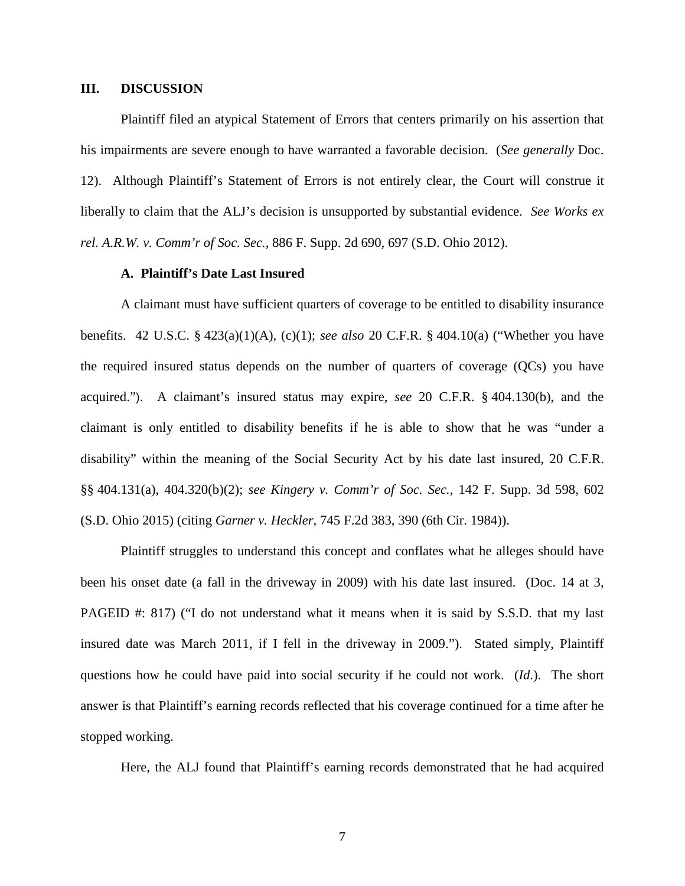## **III. DISCUSSION**

Plaintiff filed an atypical Statement of Errors that centers primarily on his assertion that his impairments are severe enough to have warranted a favorable decision. (*See generally* Doc. 12). Although Plaintiff's Statement of Errors is not entirely clear, the Court will construe it liberally to claim that the ALJ's decision is unsupported by substantial evidence. *See Works ex rel. A.R.W. v. Comm'r of Soc. Sec.*, 886 F. Supp. 2d 690, 697 (S.D. Ohio 2012).

## **A. Plaintiff's Date Last Insured**

A claimant must have sufficient quarters of coverage to be entitled to disability insurance benefits. 42 U.S.C. § 423(a)(1)(A), (c)(1); *see also* 20 C.F.R. § 404.10(a) ("Whether you have the required insured status depends on the number of quarters of coverage (QCs) you have acquired."). A claimant's insured status may expire, *see* 20 C.F.R. § 404.130(b), and the claimant is only entitled to disability benefits if he is able to show that he was "under a disability" within the meaning of the Social Security Act by his date last insured, 20 C.F.R. §§ 404.131(a), 404.320(b)(2); *see Kingery v. Comm'r of Soc. Sec.*, 142 F. Supp. 3d 598, 602 (S.D. Ohio 2015) (citing *Garner v. Heckler*, 745 F.2d 383, 390 (6th Cir. 1984)).

Plaintiff struggles to understand this concept and conflates what he alleges should have been his onset date (a fall in the driveway in 2009) with his date last insured. (Doc. 14 at 3, PAGEID #: 817) ("I do not understand what it means when it is said by S.S.D. that my last insured date was March 2011, if I fell in the driveway in 2009."). Stated simply, Plaintiff questions how he could have paid into social security if he could not work. (*Id*.). The short answer is that Plaintiff's earning records reflected that his coverage continued for a time after he stopped working.

Here, the ALJ found that Plaintiff's earning records demonstrated that he had acquired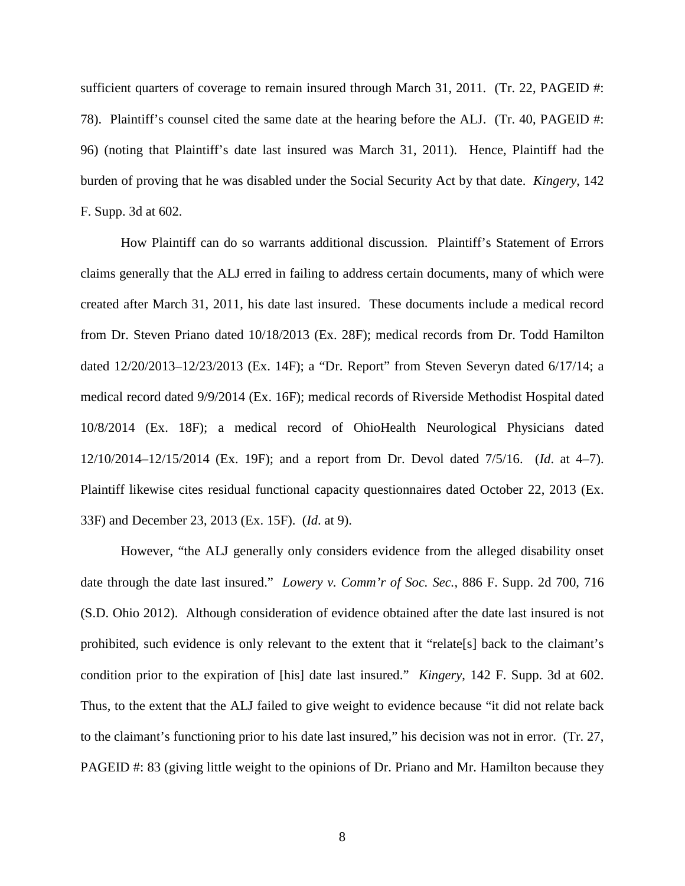sufficient quarters of coverage to remain insured through March 31, 2011. (Tr. 22, PAGEID #: 78). Plaintiff's counsel cited the same date at the hearing before the ALJ. (Tr. 40, PAGEID #: 96) (noting that Plaintiff's date last insured was March 31, 2011). Hence, Plaintiff had the burden of proving that he was disabled under the Social Security Act by that date. *Kingery*, 142 F. Supp. 3d at 602.

How Plaintiff can do so warrants additional discussion. Plaintiff's Statement of Errors claims generally that the ALJ erred in failing to address certain documents, many of which were created after March 31, 2011, his date last insured. These documents include a medical record from Dr. Steven Priano dated 10/18/2013 (Ex. 28F); medical records from Dr. Todd Hamilton dated 12/20/2013–12/23/2013 (Ex. 14F); a "Dr. Report" from Steven Severyn dated 6/17/14; a medical record dated 9/9/2014 (Ex. 16F); medical records of Riverside Methodist Hospital dated 10/8/2014 (Ex. 18F); a medical record of OhioHealth Neurological Physicians dated 12/10/2014–12/15/2014 (Ex. 19F); and a report from Dr. Devol dated 7/5/16. (*Id*. at 4–7). Plaintiff likewise cites residual functional capacity questionnaires dated October 22, 2013 (Ex. 33F) and December 23, 2013 (Ex. 15F). (*Id*. at 9).

However, "the ALJ generally only considers evidence from the alleged disability onset date through the date last insured." *Lowery v. Comm'r of Soc. Sec.*, 886 F. Supp. 2d 700, 716 (S.D. Ohio 2012). Although consideration of evidence obtained after the date last insured is not prohibited, such evidence is only relevant to the extent that it "relate[s] back to the claimant's condition prior to the expiration of [his] date last insured." *Kingery*, 142 F. Supp. 3d at 602. Thus, to the extent that the ALJ failed to give weight to evidence because "it did not relate back to the claimant's functioning prior to his date last insured," his decision was not in error. (Tr. 27, PAGEID #: 83 (giving little weight to the opinions of Dr. Priano and Mr. Hamilton because they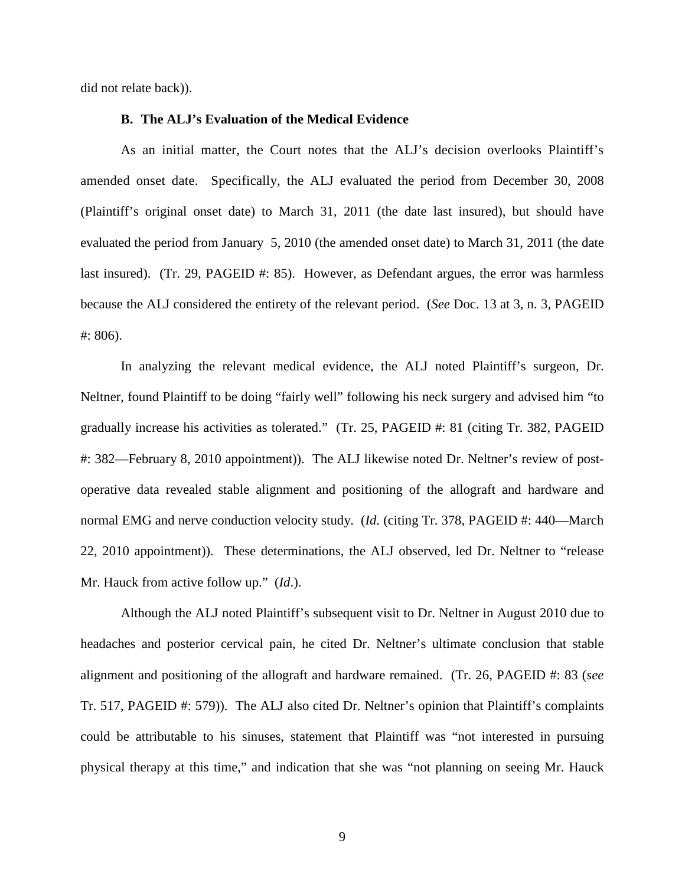did not relate back)).

## **B. The ALJ's Evaluation of the Medical Evidence**

As an initial matter, the Court notes that the ALJ's decision overlooks Plaintiff's amended onset date. Specifically, the ALJ evaluated the period from December 30, 2008 (Plaintiff's original onset date) to March 31, 2011 (the date last insured), but should have evaluated the period from January 5, 2010 (the amended onset date) to March 31, 2011 (the date last insured). (Tr. 29, PAGEID #: 85). However, as Defendant argues, the error was harmless because the ALJ considered the entirety of the relevant period. (*See* Doc. 13 at 3, n. 3, PAGEID #: 806).

In analyzing the relevant medical evidence, the ALJ noted Plaintiff's surgeon, Dr. Neltner, found Plaintiff to be doing "fairly well" following his neck surgery and advised him "to gradually increase his activities as tolerated." (Tr. 25, PAGEID #: 81 (citing Tr. 382, PAGEID #: 382—February 8, 2010 appointment)). The ALJ likewise noted Dr. Neltner's review of postoperative data revealed stable alignment and positioning of the allograft and hardware and normal EMG and nerve conduction velocity study. (*Id.* (citing Tr. 378, PAGEID #: 440—March 22, 2010 appointment)). These determinations, the ALJ observed, led Dr. Neltner to "release Mr. Hauck from active follow up." (*Id*.).

Although the ALJ noted Plaintiff's subsequent visit to Dr. Neltner in August 2010 due to headaches and posterior cervical pain, he cited Dr. Neltner's ultimate conclusion that stable alignment and positioning of the allograft and hardware remained. (Tr. 26, PAGEID #: 83 (*see* Tr. 517, PAGEID #: 579)). The ALJ also cited Dr. Neltner's opinion that Plaintiff's complaints could be attributable to his sinuses, statement that Plaintiff was "not interested in pursuing physical therapy at this time," and indication that she was "not planning on seeing Mr. Hauck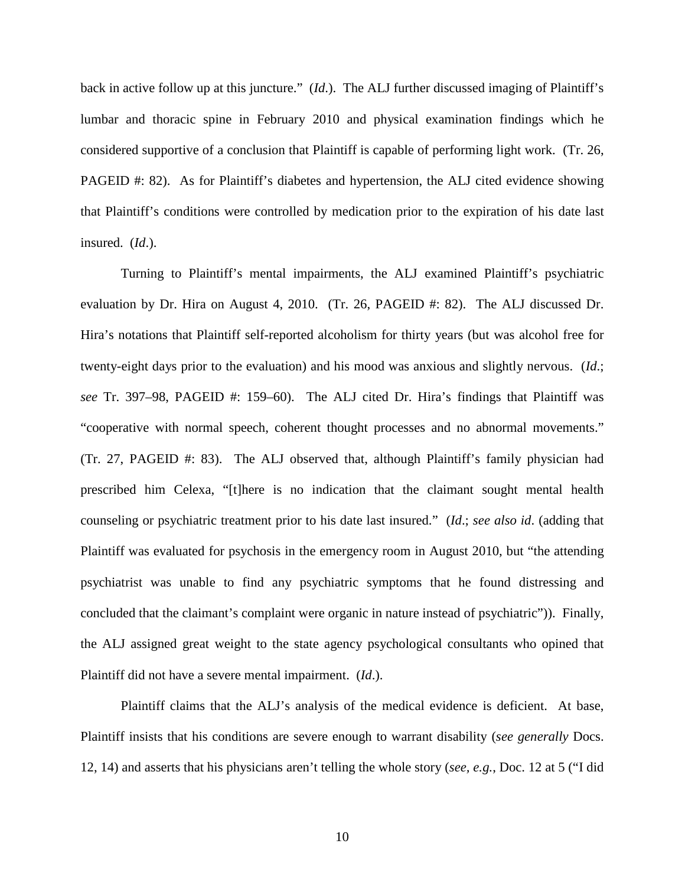back in active follow up at this juncture." (*Id*.). The ALJ further discussed imaging of Plaintiff's lumbar and thoracic spine in February 2010 and physical examination findings which he considered supportive of a conclusion that Plaintiff is capable of performing light work. (Tr. 26, PAGEID #: 82). As for Plaintiff's diabetes and hypertension, the ALJ cited evidence showing that Plaintiff's conditions were controlled by medication prior to the expiration of his date last insured. (*Id*.).

Turning to Plaintiff's mental impairments, the ALJ examined Plaintiff's psychiatric evaluation by Dr. Hira on August 4, 2010. (Tr. 26, PAGEID #: 82). The ALJ discussed Dr. Hira's notations that Plaintiff self-reported alcoholism for thirty years (but was alcohol free for twenty-eight days prior to the evaluation) and his mood was anxious and slightly nervous. (*Id*.; *see* Tr. 397–98, PAGEID #: 159–60). The ALJ cited Dr. Hira's findings that Plaintiff was "cooperative with normal speech, coherent thought processes and no abnormal movements." (Tr. 27, PAGEID #: 83). The ALJ observed that, although Plaintiff's family physician had prescribed him Celexa, "[t]here is no indication that the claimant sought mental health counseling or psychiatric treatment prior to his date last insured." (*Id*.; *see also id*. (adding that Plaintiff was evaluated for psychosis in the emergency room in August 2010, but "the attending psychiatrist was unable to find any psychiatric symptoms that he found distressing and concluded that the claimant's complaint were organic in nature instead of psychiatric")). Finally, the ALJ assigned great weight to the state agency psychological consultants who opined that Plaintiff did not have a severe mental impairment. (*Id*.).

Plaintiff claims that the ALJ's analysis of the medical evidence is deficient. At base, Plaintiff insists that his conditions are severe enough to warrant disability (*see generally* Docs. 12, 14) and asserts that his physicians aren't telling the whole story (*see, e.g.*, Doc. 12 at 5 ("I did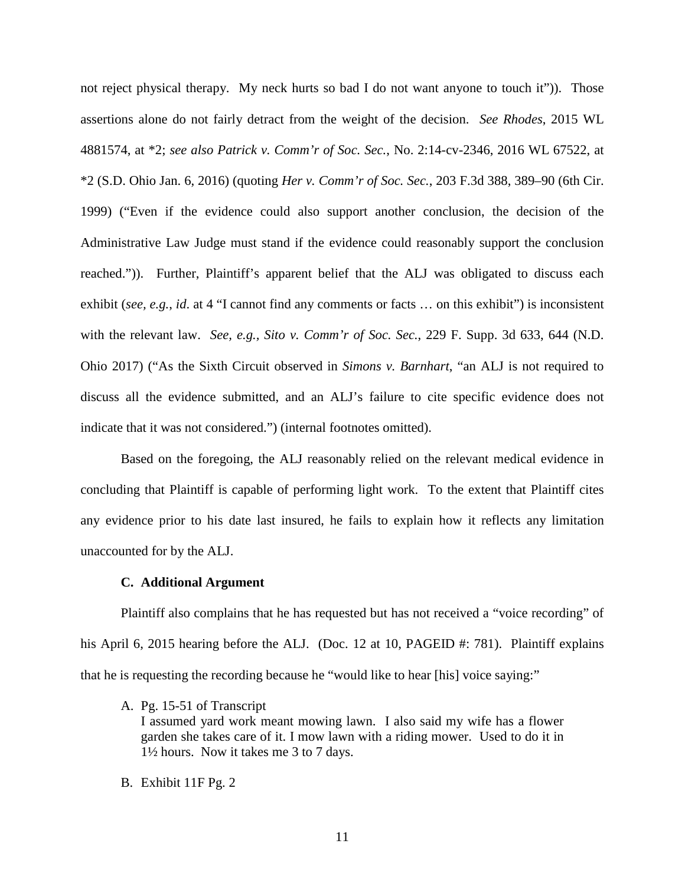not reject physical therapy. My neck hurts so bad I do not want anyone to touch it")). Those assertions alone do not fairly detract from the weight of the decision. *See Rhodes*, 2015 WL 4881574, at \*2; *see also Patrick v. Comm'r of Soc. Sec.*, No. 2:14-cv-2346, 2016 WL 67522, at \*2 (S.D. Ohio Jan. 6, 2016) (quoting *Her v. Comm'r of Soc. Sec.*, 203 F.3d 388, 389–90 (6th Cir. 1999) ("Even if the evidence could also support another conclusion, the decision of the Administrative Law Judge must stand if the evidence could reasonably support the conclusion reached.")). Further, Plaintiff's apparent belief that the ALJ was obligated to discuss each exhibit (*see, e.g.*, *id*. at 4 "I cannot find any comments or facts … on this exhibit") is inconsistent with the relevant law. *See, e.g., Sito v. Comm'r of Soc. Sec.*, 229 F. Supp. 3d 633, 644 (N.D. Ohio 2017) ("As the Sixth Circuit observed in *[Simons v. Barnhart](https://1.next.westlaw.com/Link/Document/FullText?findType=Y&serNum=2005545783&pubNum=0006538&originatingDoc=I7bb97c80dd4e11e6960ceb4fdef01e17&refType=RP&originationContext=document&transitionType=DocumentItem&contextData=(sc.Search))*, "an ALJ is not required to discuss all the evidence submitted, and an ALJ's failure to cite specific evidence does not indicate that it was not considered.") (internal footnotes omitted).

Based on the foregoing, the ALJ reasonably relied on the relevant medical evidence in concluding that Plaintiff is capable of performing light work. To the extent that Plaintiff cites any evidence prior to his date last insured, he fails to explain how it reflects any limitation unaccounted for by the ALJ.

#### **C. Additional Argument**

Plaintiff also complains that he has requested but has not received a "voice recording" of his April 6, 2015 hearing before the ALJ. (Doc. 12 at 10, PAGEID #: 781). Plaintiff explains that he is requesting the recording because he "would like to hear [his] voice saying:"

A. Pg. 15-51 of Transcript

I assumed yard work meant mowing lawn. I also said my wife has a flower garden she takes care of it. I mow lawn with a riding mower. Used to do it in 1½ hours. Now it takes me 3 to 7 days.

B. Exhibit 11F Pg. 2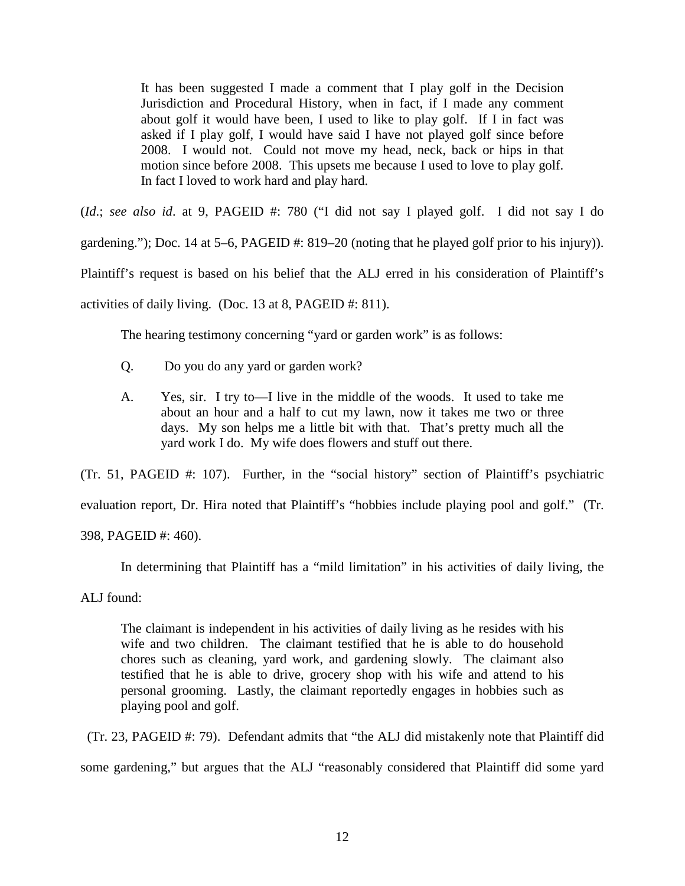It has been suggested I made a comment that I play golf in the Decision Jurisdiction and Procedural History, when in fact, if I made any comment about golf it would have been, I used to like to play golf. If I in fact was asked if I play golf, I would have said I have not played golf since before 2008. I would not. Could not move my head, neck, back or hips in that motion since before 2008. This upsets me because I used to love to play golf. In fact I loved to work hard and play hard.

(*Id*.; *see also id*. at 9, PAGEID #: 780 ("I did not say I played golf. I did not say I do gardening."); Doc. 14 at 5–6, PAGEID #: 819–20 (noting that he played golf prior to his injury)). Plaintiff's request is based on his belief that the ALJ erred in his consideration of Plaintiff's activities of daily living. (Doc. 13 at 8, PAGEID #: 811).

The hearing testimony concerning "yard or garden work" is as follows:

- Q. Do you do any yard or garden work?
- A. Yes, sir. I try to—I live in the middle of the woods. It used to take me about an hour and a half to cut my lawn, now it takes me two or three days. My son helps me a little bit with that. That's pretty much all the yard work I do. My wife does flowers and stuff out there.

(Tr. 51, PAGEID #: 107). Further, in the "social history" section of Plaintiff's psychiatric

evaluation report, Dr. Hira noted that Plaintiff's "hobbies include playing pool and golf." (Tr.

398, PAGEID #: 460).

In determining that Plaintiff has a "mild limitation" in his activities of daily living, the

ALJ found:

The claimant is independent in his activities of daily living as he resides with his wife and two children. The claimant testified that he is able to do household chores such as cleaning, yard work, and gardening slowly. The claimant also testified that he is able to drive, grocery shop with his wife and attend to his personal grooming. Lastly, the claimant reportedly engages in hobbies such as playing pool and golf.

 (Tr. 23, PAGEID #: 79). Defendant admits that "the ALJ did mistakenly note that Plaintiff did some gardening," but argues that the ALJ "reasonably considered that Plaintiff did some yard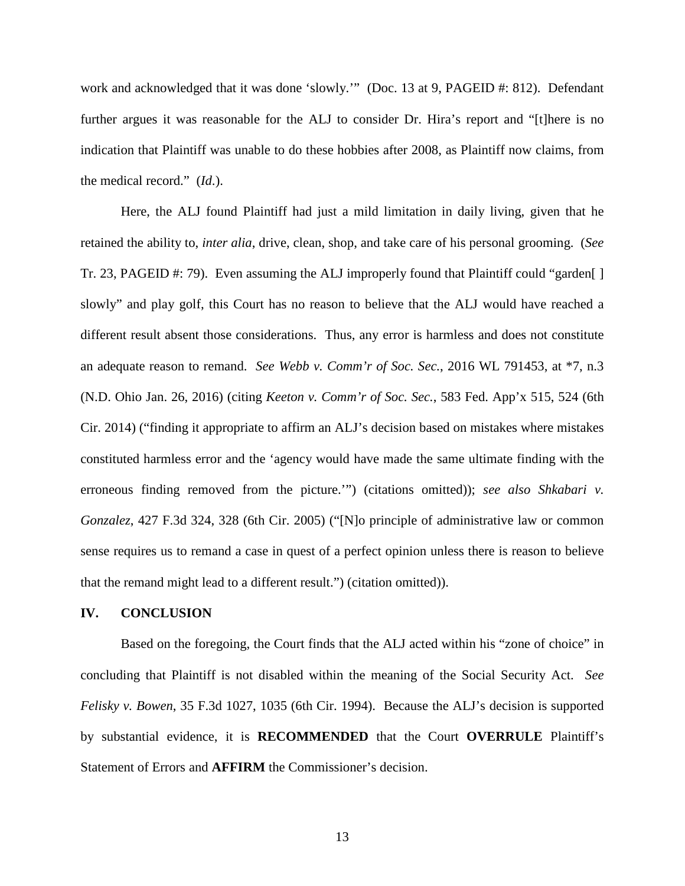work and acknowledged that it was done 'slowly.'" (Doc. 13 at 9, PAGEID #: 812). Defendant further argues it was reasonable for the ALJ to consider Dr. Hira's report and "[t]here is no indication that Plaintiff was unable to do these hobbies after 2008, as Plaintiff now claims, from the medical record." (*Id*.).

Here, the ALJ found Plaintiff had just a mild limitation in daily living, given that he retained the ability to, *inter alia*, drive, clean, shop, and take care of his personal grooming. (*See* Tr. 23, PAGEID #: 79). Even assuming the ALJ improperly found that Plaintiff could "garden[ ] slowly" and play golf, this Court has no reason to believe that the ALJ would have reached a different result absent those considerations. Thus, any error is harmless and does not constitute an adequate reason to remand. *See Webb v. Comm'r of Soc. Sec.*, 2016 WL 791453, at \*7, n.3 (N.D. Ohio Jan. 26, 2016) (citing *Keeton v. Comm'r of Soc. Sec.*, 583 Fed. App'x 515, 524 (6th Cir. 2014) ("finding it appropriate to affirm an ALJ's decision based on mistakes where mistakes constituted harmless error and the 'agency would have made the same ultimate finding with the erroneous finding removed from the picture.'") (citations omitted)); *see also Shkabari v. Gonzalez*, 427 F.3d 324, 328 (6th Cir. 2005) ("[N]o principle of administrative law or common sense requires us to remand a case in quest of a perfect opinion unless there is reason to believe that the remand might lead to a different result.") (citation omitted)).

#### **IV. CONCLUSION**

Based on the foregoing, the Court finds that the ALJ acted within his "zone of choice" in concluding that Plaintiff is not disabled within the meaning of the Social Security Act. *See Felisky v. Bowen*, 35 F.3d 1027, 1035 (6th Cir. 1994). Because the ALJ's decision is supported by substantial evidence, it is **RECOMMENDED** that the Court **OVERRULE** Plaintiff's Statement of Errors and **AFFIRM** the Commissioner's decision.